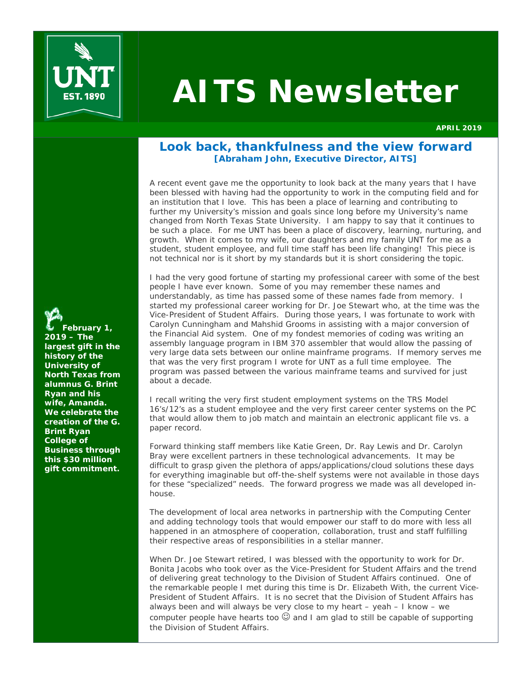

# **AITS Newsletter**

**APRIL 2019** 

# **Look back, thankfulness and the view forward [Abraham John, Executive Director, AITS]**

A recent event gave me the opportunity to look back at the many years that I have been blessed with having had the opportunity to work in the computing field and for an institution that I love. This has been a place of learning and contributing to further my University's mission and goals since long before my University's name changed from North Texas State University. I am happy to say that it continues to be such a place. For me UNT has been a place of discovery, learning, nurturing, and growth. *When it comes to my wife, our daughters and my family UNT for me as a student, student employee, and full time staff has been life changing!* This piece is not technical nor is it short by my standards but it is short considering the topic.

I had the very good fortune of starting my professional career with some of the best people I have ever known. Some of you may remember these names and understandably, as time has passed some of these names fade from memory. I started my professional career working for Dr. Joe Stewart who, at the time was the Vice-President of Student Affairs. During those years, I was fortunate to work with Carolyn Cunningham and Mahshid Grooms in assisting with a major conversion of the Financial Aid system. One of my fondest memories of coding was writing an assembly language program in IBM 370 assembler that would allow the passing of very large data sets between our online mainframe programs. If memory serves me that was the very first program I wrote for UNT as a full time employee. The program was passed between the various mainframe teams and survived for just about a decade.

I recall writing the very first student employment systems on the TRS Model 16's/12's as a student employee and the very first career center systems on the PC that would allow them to job match and maintain an electronic applicant file vs. a paper record.

Forward thinking staff members like Katie Green, Dr. Ray Lewis and Dr. Carolyn Bray were excellent partners in these technological advancements. It may be difficult to grasp given the plethora of apps/applications/cloud solutions these days for everything imaginable but off-the-shelf systems were not available in those days for these "specialized" needs. The forward progress we made was all developed inhouse.

The development of local area networks in partnership with the Computing Center and adding technology tools that would empower our staff to do more with less all happened in an atmosphere of cooperation, collaboration, trust and staff fulfilling their respective areas of responsibilities in a stellar manner.

When Dr. Joe Stewart retired, I was blessed with the opportunity to work for Dr. Bonita Jacobs who took over as the Vice-President for Student Affairs and the trend of delivering great technology to the Division of Student Affairs continued. One of the remarkable people I met during this time is Dr. Elizabeth With, the current Vice-President of Student Affairs. It is no secret that the Division of Student Affairs has always been and will always be very close to my heart – yeah – I know – we computer people have hearts too  $\mathbb G$  and I am glad to still be capable of supporting the Division of Student Affairs.

**February 1, 2019 – The largest gift in the history of the University of North Texas from alumnus G. Brint Ryan and his wife, Amanda. We celebrate the creation of the G. Brint Ryan College of Business through this \$30 million gift commitment.**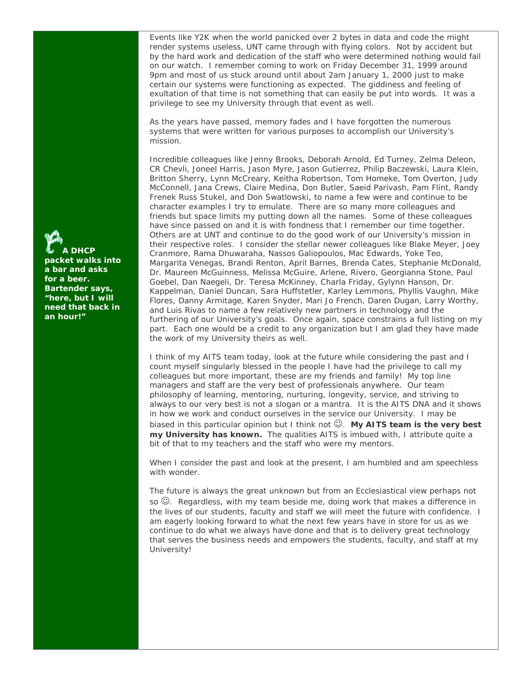Events like Y2K when the world panicked over 2 bytes in data and code the might render systems useless, UNT came through with flying colors. Not by accident but by the hard work and dedication of the staff who were determined nothing would fail on our watch. I remember coming to work on Friday December 31, 1999 around 9pm and most of us stuck around until about 2am January 1, 2000 just to make certain our systems were functioning as expected. The giddiness and feeling of exultation of that time is not something that can easily be put into words. It was a privilege to see my University through that event as well.

As the years have passed, memory fades and I have forgotten the numerous systems that were written for various purposes to accomplish our University's mission.

Incredible colleagues like Jenny Brooks, Deborah Arnold, Ed Turney, Zelma Deleon, CR Chevli, Joneel Harris, Jason Myre, Jason Gutierrez, Philip Baczewski, Laura Klein, Britton Sherry, Lynn McCreary, Keitha Robertson, Tom Homeke, Tom Overton, Judy McConnell, Jana Crews, Claire Medina, Don Butler, Saeid Parivash, Pam Flint, Randy Frenek Russ Stukel, and Don Swatlowski, to name a few were and continue to be character examples I try to emulate. There are so many more colleagues and friends but space limits my putting down all the names. Some of these colleagues have since passed on and it is with fondness that I remember our time together. Others are at UNT and continue to do the good work of our University's mission in their respective roles. I consider the stellar newer colleagues like Blake Meyer, Joey Cranmore, Rama Dhuwaraha, Nassos Galiopoulos, Mac Edwards, Yoke Teo, Margarita Venegas, Brandi Renton, April Barnes, Brenda Cates, Stephanie McDonald, Dr. Maureen McGuinness, Melissa McGuire, Arlene, Rivero, Georgianna Stone, Paul Goebel, Dan Naegeli, Dr. Teresa McKinney, Charla Friday, Gylynn Hanson, Dr. Kappelman, Daniel Duncan, Sara Huffstetler, Karley Lemmons, Phyllis Vaughn, Mike Flores, Danny Armitage, Karen Snyder, Mari Jo French, Daren Dugan, Larry Worthy, and Luis Rivas to name a few relatively new partners in technology and the furthering of our University's goals. Once again, space constrains a full listing on my part. Each one would be a credit to any organization but I am glad they have made the work of my University theirs as well.

I think of my AITS team today, look at the future while considering the past and I count myself singularly blessed in the people I have had the privilege to call my colleagues but more important, these are my friends and family! My top line managers and staff are the very best of professionals anywhere. Our team philosophy of learning, mentoring, nurturing, longevity, service, and striving to always to our very best is not a slogan or a mantra. It is the AITS DNA and it shows in how we work and conduct ourselves in the service our University. I may be biased in this particular opinion but I think not  $\mathbb{C}$ . My AITS team is the very best *my University has known.* The qualities AITS is imbued with, I attribute quite a bit of that to my teachers and the staff who were my mentors.

When I consider the past and look at the present, I am humbled and am speechless with wonder.

The future is always the great unknown but from an Ecclesiastical view perhaps not so  $\mathbb{O}$ . Regardless, with my team beside me, doing work that makes a difference in the lives of our students, faculty and staff we will meet the future with confidence. I am eagerly looking forward to what the next few years have in store for us as we continue to do what we always have done and that is to delivery great technology that serves the business needs and empowers the students, faculty, and staff at my University!

**A DHCP packet walks into a bar and asks for a beer. Bartender says, "here, but I will need that back in an hour!"**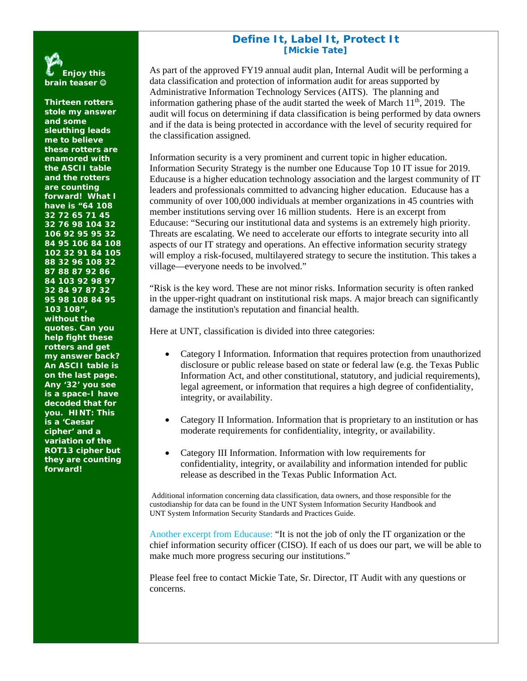# **Define It, Label It, Protect It [Mickie Tate]**

As part of the approved FY19 annual audit plan, Internal Audit will be performing a data classification and protection of information audit for areas supported by Administrative Information Technology Services (AITS). The planning and information gathering phase of the audit started the week of March  $11<sup>th</sup>$ , 2019. The audit will focus on determining if data classification is being performed by data owners and if the data is being protected in accordance with the level of security required for the classification assigned.

Information security is a very prominent and current topic in higher education. Information Security Strategy is the number one Educause Top 10 IT issue for 2019. Educause is a higher education technology association and the largest community of IT leaders and professionals committed to advancing higher education. Educause has a community of over 100,000 individuals at member organizations in 45 countries with member institutions serving over 16 million students. Here is an excerpt from Educause: "Securing our institutional data and systems is an extremely high priority. Threats are escalating. We need to accelerate our efforts to integrate security into all aspects of our IT strategy and operations. An effective information security strategy will employ a risk-focused, multilayered strategy to secure the institution. This takes a village—everyone needs to be involved."

"Risk is the key word. These are not minor risks. Information security is often ranked in the upper-right quadrant on institutional risk maps. A major breach can significantly damage the institution's reputation and financial health.

Here at UNT, classification is divided into three categories:

- Category I Information. Information that requires protection from unauthorized disclosure or public release based on state or federal law (e.g. the Texas Public Information Act, and other constitutional, statutory, and judicial requirements), legal agreement, or information that requires a high degree of confidentiality, integrity, or availability.
- Category II Information. Information that is proprietary to an institution or has moderate requirements for confidentiality, integrity, or availability.
- Category III Information. Information with low requirements for confidentiality, integrity, or availability and information intended for public release as described in the Texas Public Information Act.

 Additional information concerning data classification, data owners, and those responsible for the custodianship for data can be found in the UNT System Information Security Handbook and UNT System Information Security Standards and Practices Guide.

Another excerpt from Educause: "It is not the job of only the IT organization or the chief information security officer (CISO). If each of us does our part, we will be able to make much more progress securing our institutions."

Please feel free to contact Mickie Tate, Sr. Director, IT Audit with any questions or concerns.

**Enjoy this brain teaser** 

**Thirteen rotters stole my answer and some sleuthing leads me to believe these rotters are enamored with the ASCII table and the rotters are counting forward! What I have is "64 108 32 72 65 71 45 32 76 98 104 32 106 92 95 95 32 84 95 106 84 108 102 32 91 84 105 88 32 96 108 32 87 88 87 92 86 84 103 92 98 97 32 84 97 87 32 95 98 108 84 95 103 108", without the quotes. Can you help fight these rotters and get my answer back? An ASCII table is on the last page. Any '32' you see is a space-I have decoded that for you. HINT: This is a 'Caesar cipher' and a variation of the ROT13 cipher but they are counting forward!**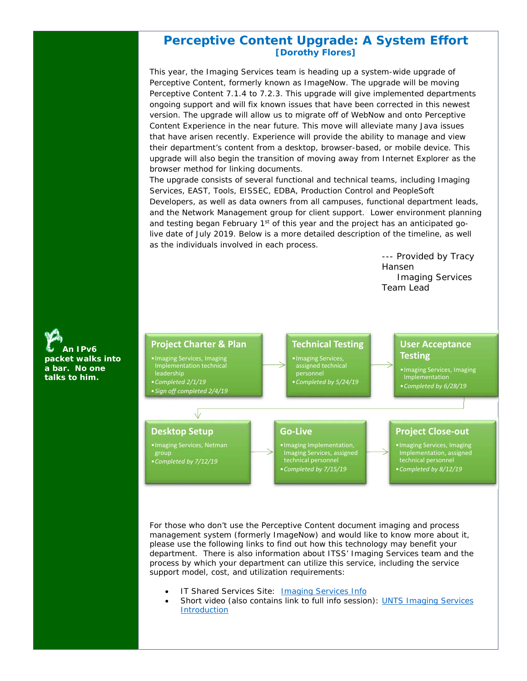# **Perceptive Content Upgrade: A System Effort [Dorothy Flores]**

This year, the Imaging Services team is heading up a system-wide upgrade of Perceptive Content, formerly known as ImageNow. The upgrade will be moving Perceptive Content 7.1.4 to 7.2.3. This upgrade will give implemented departments ongoing support and will fix known issues that have been corrected in this newest version. The upgrade will allow us to migrate off of WebNow and onto Perceptive Content Experience in the near future. This move will alleviate many Java issues that have arisen recently. Experience will provide the ability to manage and view their department's content from a desktop, browser-based, or mobile device. This upgrade will also begin the transition of moving away from Internet Explorer as the browser method for linking documents.

The upgrade consists of several functional and technical teams, including Imaging Services, EAST, Tools, EISSEC, EDBA, Production Control and PeopleSoft Developers, as well as data owners from all campuses, functional department leads, and the Network Management group for client support. Lower environment planning and testing began February  $1<sup>st</sup>$  of this year and the project has an anticipated golive date of July 2019. Below is a more detailed description of the timeline, as well as the individuals involved in each process.

> --- Provided by Tracy Hansen Imaging Services Team Lead



For those who don't use the Perceptive Content document imaging and process management system (formerly ImageNow) and would like to know more about it, please use the following links to find out how this technology may benefit your department. There is also information about ITSS' Imaging Services team and the process by which your department can utilize this service, including the service support model, cost, and utilization requirements:

- IT Shared Services Site: Imaging Services Info
- Short video (also contains link to full info session): UNTS Imaging Services Introduction

**An IPv6 packet walks into a bar. No one talks to him.**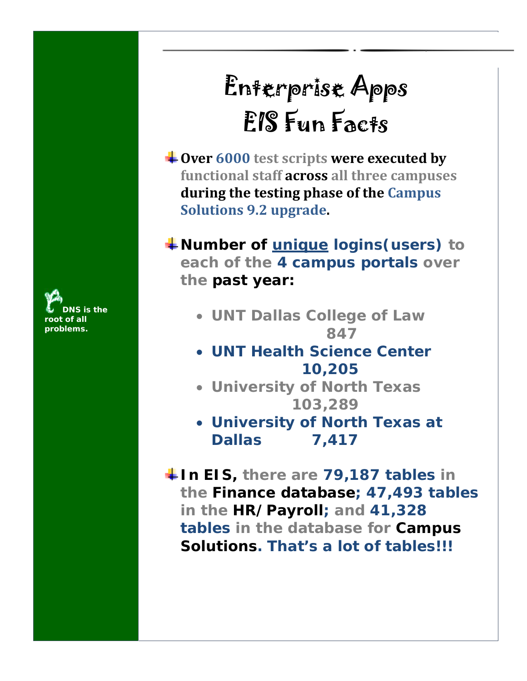**DNS is the**  *<u>of all</u>* **problems.**

# Enterprise Apps EIS Fun Facts

**Over 6000 test scripts were executed by functional staff across all three campuses during the testing phase of the Campus Solutions 9.2 upgrade.**

**We Number of <u>unique</u> logins (users) to each of the 4 campus portals over the past year:**

- **UNT Dallas College of Law 847**
- **UNT Health Science Center 10,205**
- **University of North Texas 103,289**
- **University of North Texas at Dallas 7,417**

**In EIS, there are 79,187 tables in the Finance database; 47,493 tables in the HR/Payroll; and 41,328 tables in the database for Campus Solutions. That's a lot of tables!!!**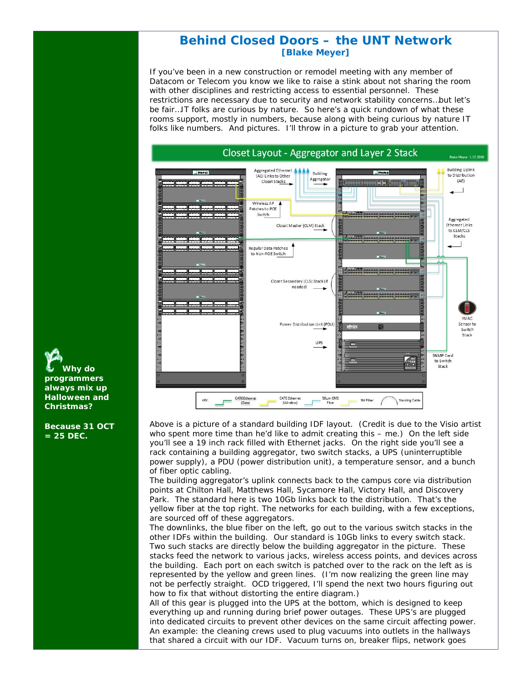# **Behind Closed Doors – the UNT Network [Blake Meyer]**

If you've been in a new construction or remodel meeting with any member of Datacom or Telecom you know we like to raise a stink about not sharing the room with other disciplines and restricting access to essential personnel. These restrictions are necessary due to security and network stability concerns…but let's be fair…IT folks are curious by nature. So here's a quick rundown of what these rooms support, mostly in numbers, because along with being curious by nature IT folks like numbers. And pictures. I'll throw in a picture to grab your attention.



Above is a picture of a standard building IDF layout. (Credit is due to the Visio artist who spent more time than he'd like to admit creating this – me.) On the left side you'll see a 19 inch rack filled with Ethernet jacks. On the right side you'll see a rack containing a building aggregator, two switch stacks, a UPS (uninterruptible power supply), a PDU (power distribution unit), a temperature sensor, and a bunch of fiber optic cabling.

The building aggregator's uplink connects back to the campus core via distribution points at Chilton Hall, Matthews Hall, Sycamore Hall, Victory Hall, and Discovery Park. The standard here is two 10Gb links back to the distribution. That's the yellow fiber at the top right. The networks for each building, with a few exceptions, are sourced off of these aggregators.

The downlinks, the blue fiber on the left, go out to the various switch stacks in the other IDFs within the building. Our standard is 10Gb links to every switch stack. Two such stacks are directly below the building aggregator in the picture. These stacks feed the network to various jacks, wireless access points, and devices across the building. Each port on each switch is patched over to the rack on the left as is represented by the yellow and green lines. (I'm now realizing the green line may not be perfectly straight. OCD triggered, I'll spend the next two hours figuring out how to fix that without distorting the entire diagram.)

All of this gear is plugged into the UPS at the bottom, which is designed to keep everything up and running during brief power outages. These UPS's are plugged into dedicated circuits to prevent other devices on the same circuit affecting power. An example: the cleaning crews used to plug vacuums into outlets in the hallways that shared a circuit with our IDF. Vacuum turns on, breaker flips, network goes

**Why do programmers always mix up Halloween and Christmas?** 

**Because 31 OCT = 25 DEC.**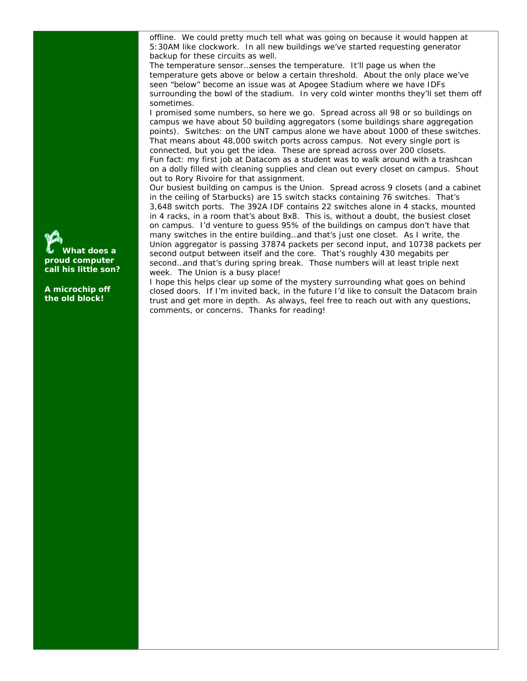offline. We could pretty much tell what was going on because it would happen at 5:30AM like clockwork. In all new buildings we've started requesting generator backup for these circuits as well.

The temperature sensor…senses the temperature. It'll page us when the temperature gets above or below a certain threshold. About the only place we've seen "below" become an issue was at Apogee Stadium where we have IDFs surrounding the bowl of the stadium. In very cold winter months they'll set them off sometimes.

I promised some numbers, so here we go. Spread across all 98 or so buildings on campus we have about 50 building aggregators (some buildings share aggregation points). Switches: on the UNT campus alone we have about 1000 of these switches. That means about 48,000 switch ports across campus. Not every single port is connected, but you get the idea. These are spread across over 200 closets. Fun fact: my first job at Datacom as a student was to walk around with a trashcan on a dolly filled with cleaning supplies and clean out every closet on campus. Shout out to Rory Rivoire for that assignment.

Our busiest building on campus is the Union. Spread across 9 closets (and a cabinet in the ceiling of Starbucks) are 15 switch stacks containing 76 switches. That's 3,648 switch ports. The 392A IDF contains 22 switches alone in 4 stacks, mounted in 4 racks, in a room that's about 8x8. This is, without a doubt, the busiest closet on campus. I'd venture to guess 95% of the buildings on campus don't have that many switches in the entire building…and that's just one closet. As I write, the Union aggregator is passing 37874 packets per second input, and 10738 packets per second output between itself and the core. That's roughly 430 megabits per second…and that's during spring break. Those numbers will at least triple next week. The Union is a busy place!

I hope this helps clear up some of the mystery surrounding what goes on behind closed doors. If I'm invited back, in the future I'd like to consult the Datacom brain trust and get more in depth. As always, feel free to reach out with any questions, comments, or concerns. Thanks for reading!

**What does a proud computer call his little son?** 

**A microchip off the old block!**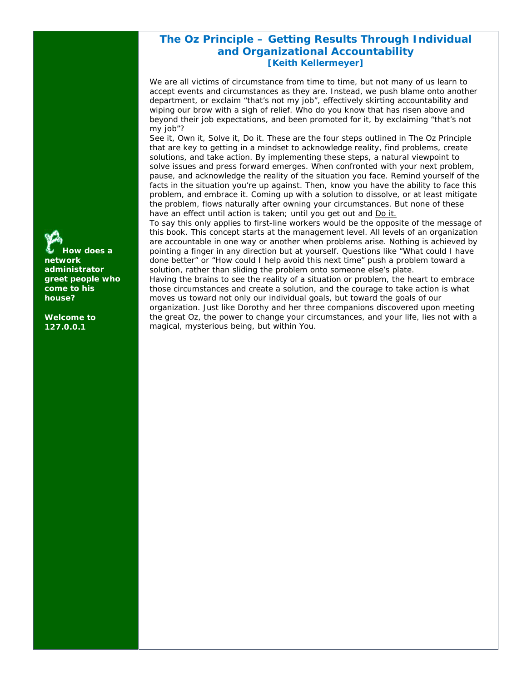# **The Oz Principle – Getting Results Through Individual and Organizational Accountability [Keith Kellermeyer]**

We are all victims of circumstance from time to time, but not many of us learn to accept events and circumstances as they are. Instead, we push blame onto another department, or exclaim "that's not my job", effectively skirting accountability and wiping our brow with a sigh of relief. Who do you know that has risen above and beyond their job expectations, and been promoted for it, by exclaiming "that's not my job"?

See it, Own it, Solve it, Do it. These are the four steps outlined in The Oz Principle that are key to getting in a mindset to acknowledge reality, find problems, create solutions, and take action. By implementing these steps, a natural viewpoint to solve issues and press forward emerges. When confronted with your next problem, pause, and acknowledge the reality of the situation you face. Remind yourself of the facts in the situation you're up against. Then, know you have the ability to face this problem, and embrace it. Coming up with a solution to dissolve, or at least mitigate the problem, flows naturally after owning your circumstances. But none of these have an effect until action is taken; until you get out and Do it.

To say this only applies to first-line workers would be the opposite of the message of this book. This concept starts at the management level. All levels of an organization are accountable in one way or another when problems arise. Nothing is achieved by pointing a finger in any direction but at yourself. Questions like "What could I have done better" or "How could I help avoid this next time" push a problem toward a solution, rather than sliding the problem onto someone else's plate.

Having the brains to see the reality of a situation or problem, the heart to embrace those circumstances and create a solution, and the courage to take action is what moves us toward not only our individual goals, but toward the goals of our organization. Just like Dorothy and her three companions discovered upon meeting the great Oz, the power to change your circumstances, and your life, lies not with a magical, mysterious being, but within You.

**How does a network administrator greet people who come to his house?** 

**Welcome to 127.0.0.1**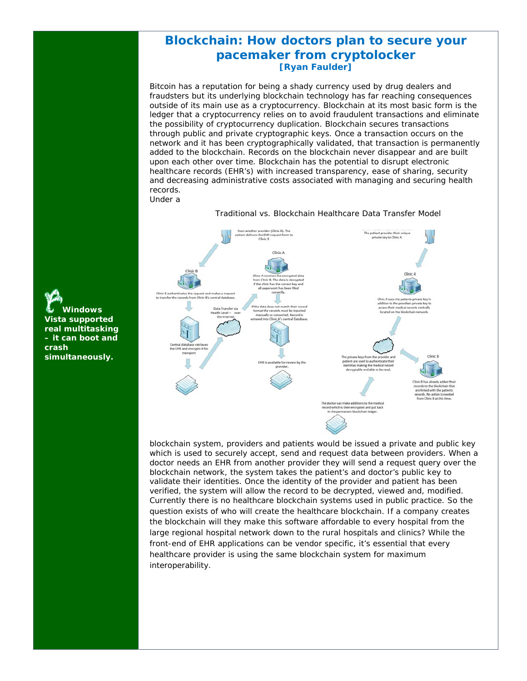# **Blockchain: How doctors plan to secure your pacemaker from cryptolocker [Ryan Faulder]**

Bitcoin has a reputation for being a shady currency used by drug dealers and fraudsters but its underlying blockchain technology has far reaching consequences outside of its main use as a cryptocurrency. Blockchain at its most basic form is the ledger that a cryptocurrency relies on to avoid fraudulent transactions and eliminate the possibility of cryptocurrency duplication. Blockchain secures transactions through public and private cryptographic keys. Once a transaction occurs on the network and it has been cryptographically validated, that transaction is permanently added to the blockchain. Records on the blockchain never disappear and are built upon each other over time. Blockchain has the potential to disrupt electronic healthcare records (EHR's) with increased transparency, ease of sharing, security and decreasing administrative costs associated with managing and securing health records. Under a

The patient provides their uprivate key to Clinic A. vides their ur  $C$ linic A B. The data is<br>has the corre access their me dical rec located on the blockchain ne tral Da Clinic B has already addressed a branch are linked with the postfrom Clinic B at this tir The doctor can make additions to the cord which is then encrypted and put back

blockchain system, providers and patients would be issued a private and public key which is used to securely accept, send and request data between providers. When a doctor needs an EHR from another provider they will send a request query over the blockchain network, the system takes the patient's and doctor's public key to validate their identities. Once the identity of the provider and patient has been verified, the system will allow the record to be decrypted, viewed and, modified. Currently there is no healthcare blockchain systems used in public practice. So the question exists of who will create the healthcare blockchain. If a company creates the blockchain will they make this software affordable to every hospital from the large regional hospital network down to the rural hospitals and clinics? While the front-end of EHR applications can be vendor specific, it's essential that every healthcare provider is using the same blockchain system for maximum interoperability.

Traditional vs. Blockchain Healthcare Data Transfer Model

**Windows Vista supported real multitasking – it can boot and crash simultaneously.**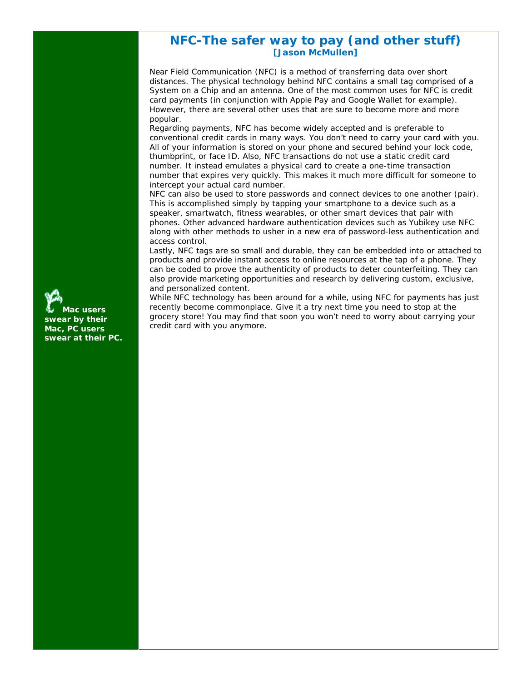# **NFC-The safer way to pay (and other stuff) [Jason McMullen]**

Near Field Communication (NFC) is a method of transferring data over short distances. The physical technology behind NFC contains a small tag comprised of a System on a Chip and an antenna. One of the most common uses for NFC is credit card payments (in conjunction with Apple Pay and Google Wallet for example). However, there are several other uses that are sure to become more and more popular.

Regarding payments, NFC has become widely accepted and is preferable to conventional credit cards in many ways. You don't need to carry your card with you. All of your information is stored on your phone and secured behind your lock code, thumbprint, or face ID. Also, NFC transactions do not use a static credit card number. It instead emulates a physical card to create a one-time transaction number that expires very quickly. This makes it much more difficult for someone to intercept your actual card number.

NFC can also be used to store passwords and connect devices to one another (pair). This is accomplished simply by tapping your smartphone to a device such as a speaker, smartwatch, fitness wearables, or other smart devices that pair with phones. Other advanced hardware authentication devices such as Yubikey use NFC along with other methods to usher in a new era of password-less authentication and access control.

Lastly, NFC tags are so small and durable, they can be embedded into or attached to products and provide instant access to online resources at the tap of a phone. They can be coded to prove the authenticity of products to deter counterfeiting. They can also provide marketing opportunities and research by delivering custom, exclusive, and personalized content.

While NFC technology has been around for a while, using NFC for payments has just recently become commonplace. Give it a try next time you need to stop at the grocery store! You may find that soon you won't need to worry about carrying your credit card with you anymore.

**Mac users swear by their Mac, PC users swear at their PC.**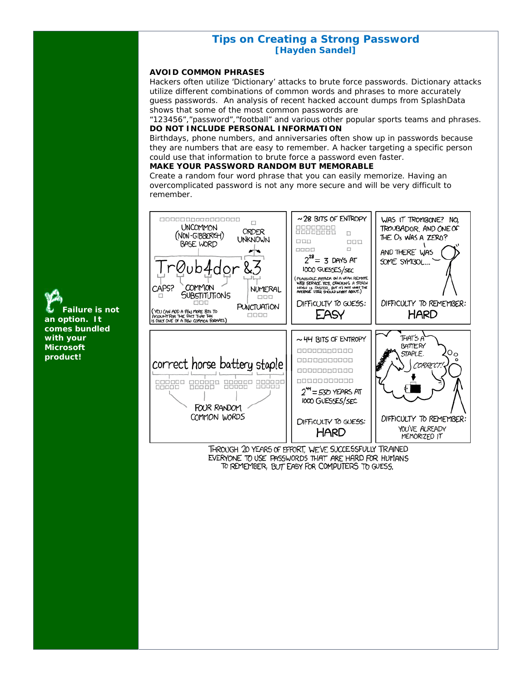# **Tips on Creating a Strong Password [Hayden Sandel]**

#### **AVOID COMMON PHRASES**

Hackers often utilize 'Dictionary' attacks to brute force passwords. Dictionary attacks utilize different combinations of common words and phrases to more accurately guess passwords. An analysis of recent hacked account dumps from SplashData shows that some of the most common passwords are

"123456","password","football" and various other popular sports teams and phrases. **DO NOT INCLUDE PERSONAL INFORMATION** 

Birthdays, phone numbers, and anniversaries often show up in passwords because they are numbers that are easy to remember. A hacker targeting a specific person could use that information to brute force a password even faster.

# **MAKE YOUR PASSWORD RANDOM BUT MEMORABLE**

Create a random four word phrase that you can easily memorize. Having an overcomplicated password is not any more secure and will be very difficult to remember.



EVERYONE TO USE PASSWORDS THAT ARE HARD FOR HUMANS TO REMEMBER, BUT EASY FOR COMPUTERS TO GUESS.

**Failure is not an option. It comes bundled with your Microsoft product!**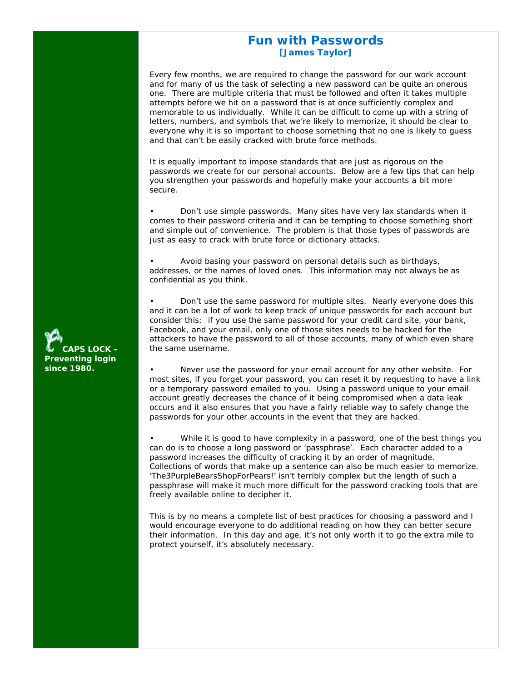# **Fun with Passwords [James Taylor]**

Every few months, we are required to change the password for our work account and for many of us the task of selecting a new password can be quite an onerous one. There are multiple criteria that must be followed and often it takes multiple attempts before we hit on a password that is at once sufficiently complex and memorable to us individually. While it can be difficult to come up with a string of letters, numbers, and symbols that we're likely to memorize, it should be clear to everyone why it is so important to choose something that no one is likely to guess and that can't be easily cracked with brute force methods.

It is equally important to impose standards that are just as rigorous on the passwords we create for our personal accounts. Below are a few tips that can help you strengthen your passwords and hopefully make your accounts a bit more secure.

• Don't use simple passwords. Many sites have very lax standards when it comes to their password criteria and it can be tempting to choose something short and simple out of convenience. The problem is that those types of passwords are just as easy to crack with brute force or dictionary attacks.

• Avoid basing your password on personal details such as birthdays, addresses, or the names of loved ones. This information may not always be as confidential as you think.

• Don't use the same password for multiple sites. Nearly everyone does this and it can be a lot of work to keep track of unique passwords for each account but consider this: if you use the same password for your credit card site, your bank, Facebook, and your email, only one of those sites needs to be hacked for the attackers to have the password to all of those accounts, many of which even share the same username.

• Never use the password for your email account for any other website. For most sites, if you forget your password, you can reset it by requesting to have a link or a temporary password emailed to you. Using a password unique to your email account greatly decreases the chance of it being compromised when a data leak occurs and it also ensures that you have a fairly reliable way to safely change the passwords for your other accounts in the event that they are hacked.

While it is good to have complexity in a password, one of the best things you can do is to choose a long password or 'passphrase'. Each character added to a password increases the difficulty of cracking it by an order of magnitude. Collections of words that make up a sentence can also be much easier to memorize. 'The3PurpleBearsShopForPears!' isn't terribly complex but the length of such a passphrase will make it much more difficult for the password cracking tools that are freely available online to decipher it.

This is by no means a complete list of best practices for choosing a password and I would encourage everyone to do additional reading on how they can better secure their information. In this day and age, it's not only worth it to go the extra mile to protect yourself, it's absolutely necessary.

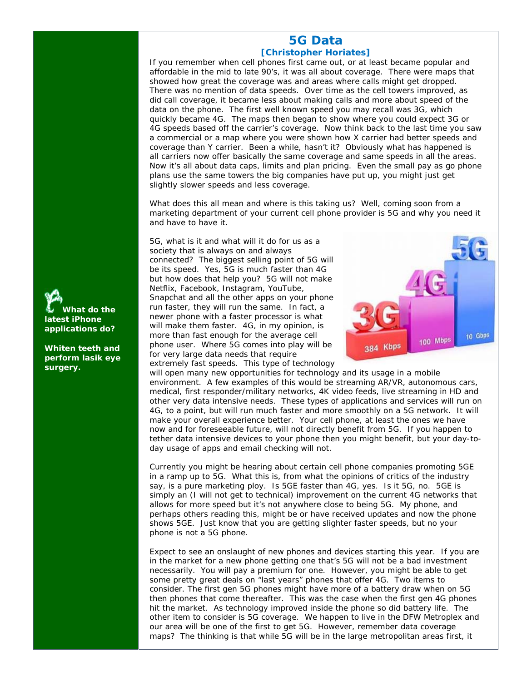## **5G Data [Christopher Horiates]**

If you remember when cell phones first came out, or at least became popular and affordable in the mid to late 90's, it was all about coverage. There were maps that showed how great the coverage was and areas where calls might get dropped. There was no mention of data speeds. Over time as the cell towers improved, as did call coverage, it became less about making calls and more about speed of the data on the phone. The first well known speed you may recall was 3G, which quickly became 4G. The maps then began to show where you could expect 3G or 4G speeds based off the carrier's coverage. Now think back to the last time you saw a commercial or a map where you were shown how X carrier had better speeds and coverage than Y carrier. Been a while, hasn't it? Obviously what has happened is all carriers now offer basically the same coverage and same speeds in all the areas. Now it's all about data caps, limits and plan pricing. Even the small pay as go phone plans use the same towers the big companies have put up, you might just get slightly slower speeds and less coverage.

What does this all mean and where is this taking us? Well, coming soon from a marketing department of your current cell phone provider is 5G and why you need it and have to have it.

5G, what is it and what will it do for us as a society that is always on and always connected? The biggest selling point of 5G will be its speed. Yes, 5G is much faster than 4G but how does that help you? 5G will not make Netflix, Facebook, Instagram, YouTube, Snapchat and all the other apps on your phone run faster, they will run the same. In fact, a newer phone with a faster processor is what will make them faster. 4G, in my opinion, is more than fast enough for the average cell phone user. Where 5G comes into play will be for very large data needs that require extremely fast speeds. This type of technology



will open many new opportunities for technology and its usage in a mobile environment. A few examples of this would be streaming AR/VR, autonomous cars, medical, first responder/military networks, 4K video feeds, live streaming in HD and other very data intensive needs. These types of applications and services will run on 4G, to a point, but will run much faster and more smoothly on a 5G network. It will make your overall experience better. Your cell phone, at least the ones we have now and for foreseeable future, will not directly benefit from 5G. If you happen to tether data intensive devices to your phone then you might benefit, but your day-today usage of apps and email checking will not.

Currently you might be hearing about certain cell phone companies promoting 5GE in a ramp up to 5G. What this is, from what the opinions of critics of the industry say, is a pure marketing ploy. Is 5GE faster than 4G, yes. Is it 5G, no. 5GE is simply an (I will not get to technical) improvement on the current 4G networks that allows for more speed but it's not anywhere close to being 5G. My phone, and perhaps others reading this, might be or have received updates and now the phone shows 5GE. Just know that you are getting slighter faster speeds, but no your phone is not a 5G phone.

Expect to see an onslaught of new phones and devices starting this year. If you are in the market for a new phone getting one that's 5G will not be a bad investment necessarily. You will pay a premium for one. However, you might be able to get some pretty great deals on "last years" phones that offer 4G. Two items to consider. The first gen 5G phones might have more of a battery draw when on 5G then phones that come thereafter. This was the case when the first gen 4G phones hit the market. As technology improved inside the phone so did battery life. The other item to consider is 5G coverage. We happen to live in the DFW Metroplex and our area will be one of the first to get 5G. However, remember data coverage maps? The thinking is that while 5G will be in the large metropolitan areas first, it



**Whiten teeth and perform lasik eye surgery.**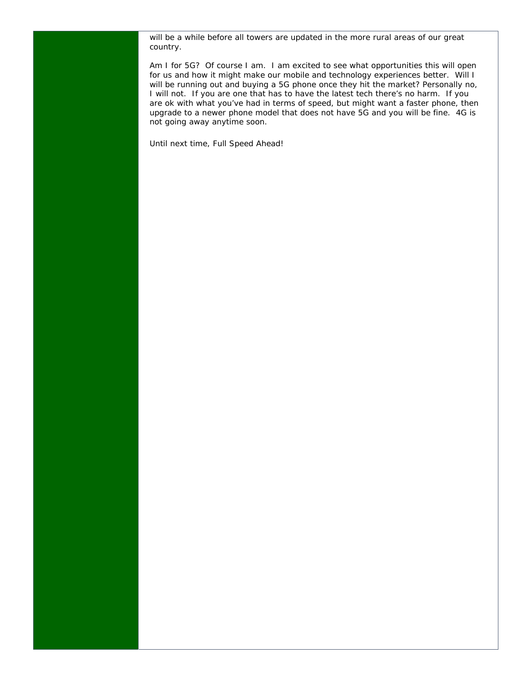will be a while before all towers are updated in the more rural areas of our great country.

Am I for 5G? Of course I am. I am excited to see what opportunities this will open for us and how it might make our mobile and technology experiences better. Will I will be running out and buying a 5G phone once they hit the market? Personally no, I will not. If you are one that has to have the latest tech there's no harm. If you are ok with what you've had in terms of speed, but might want a faster phone, then upgrade to a newer phone model that does not have 5G and you will be fine. 4G is not going away anytime soon.

Until next time, Full Speed Ahead!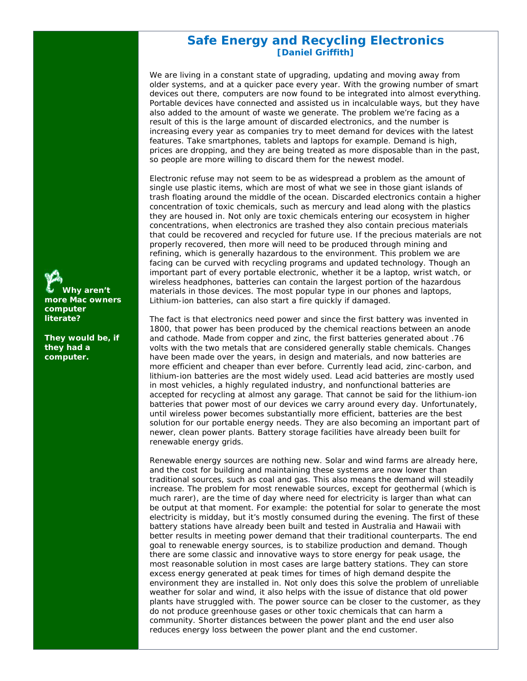# **Safe Energy and Recycling Electronics [Daniel Griffith]**

We are living in a constant state of upgrading, updating and moving away from older systems, and at a quicker pace every year. With the growing number of smart devices out there, computers are now found to be integrated into almost everything. Portable devices have connected and assisted us in incalculable ways, but they have also added to the amount of waste we generate. The problem we're facing as a result of this is the large amount of discarded electronics, and the number is increasing every year as companies try to meet demand for devices with the latest features. Take smartphones, tablets and laptops for example. Demand is high, prices are dropping, and they are being treated as more disposable than in the past, so people are more willing to discard them for the newest model.

Electronic refuse may not seem to be as widespread a problem as the amount of single use plastic items, which are most of what we see in those giant islands of trash floating around the middle of the ocean. Discarded electronics contain a higher concentration of toxic chemicals, such as mercury and lead along with the plastics they are housed in. Not only are toxic chemicals entering our ecosystem in higher concentrations, when electronics are trashed they also contain precious materials that could be recovered and recycled for future use. If the precious materials are not properly recovered, then more will need to be produced through mining and refining, which is generally hazardous to the environment. This problem we are facing can be curved with recycling programs and updated technology. Though an important part of every portable electronic, whether it be a laptop, wrist watch, or wireless headphones, batteries can contain the largest portion of the hazardous materials in those devices. The most popular type in our phones and laptops, Lithium-ion batteries, can also start a fire quickly if damaged.

The fact is that electronics need power and since the first battery was invented in 1800, that power has been produced by the chemical reactions between an anode and cathode. Made from copper and zinc, the first batteries generated about .76 volts with the two metals that are considered generally stable chemicals. Changes have been made over the years, in design and materials, and now batteries are more efficient and cheaper than ever before. Currently lead acid, zinc-carbon, and lithium-ion batteries are the most widely used. Lead acid batteries are mostly used in most vehicles, a highly regulated industry, and nonfunctional batteries are accepted for recycling at almost any garage. That cannot be said for the lithium-ion batteries that power most of our devices we carry around every day. Unfortunately, until wireless power becomes substantially more efficient, batteries are the best solution for our portable energy needs. They are also becoming an important part of newer, clean power plants. Battery storage facilities have already been built for renewable energy grids.

Renewable energy sources are nothing new. Solar and wind farms are already here, and the cost for building and maintaining these systems are now lower than traditional sources, such as coal and gas. This also means the demand will steadily increase. The problem for most renewable sources, except for geothermal (which is much rarer), are the time of day where need for electricity is larger than what can be output at that moment. For example: the potential for solar to generate the most electricity is midday, but it's mostly consumed during the evening. The first of these battery stations have already been built and tested in Australia and Hawaii with better results in meeting power demand that their traditional counterparts. The end goal to renewable energy sources, is to stabilize production and demand. Though there are some classic and innovative ways to store energy for peak usage, the most reasonable solution in most cases are large battery stations. They can store excess energy generated at peak times for times of high demand despite the environment they are installed in. Not only does this solve the problem of unreliable weather for solar and wind, it also helps with the issue of distance that old power plants have struggled with. The power source can be closer to the customer, as they do not produce greenhouse gases or other toxic chemicals that can harm a community. Shorter distances between the power plant and the end user also reduces energy loss between the power plant and the end customer.

**Why aren't more Mac owners computer literate?** 

**They would be, if they had a computer.**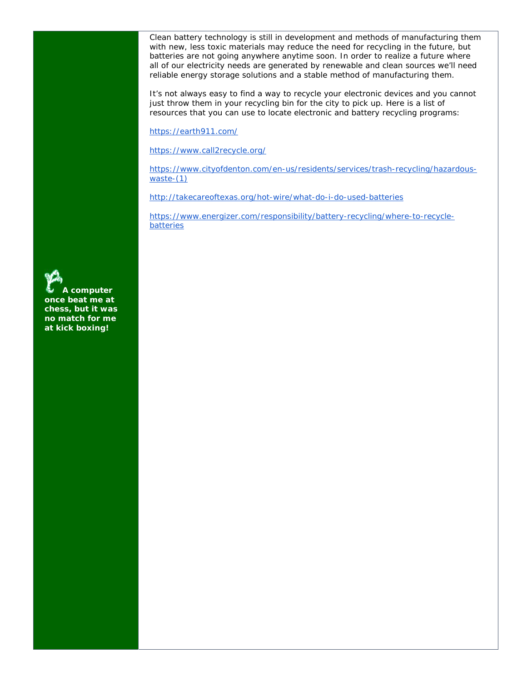Clean battery technology is still in development and methods of manufacturing them with new, less toxic materials may reduce the need for recycling in the future, but batteries are not going anywhere anytime soon. In order to realize a future where all of our electricity needs are generated by renewable and clean sources we'll need reliable energy storage solutions and a stable method of manufacturing them.

It's not always easy to find a way to recycle your electronic devices and you cannot just throw them in your recycling bin for the city to pick up. Here is a list of resources that you can use to locate electronic and battery recycling programs:

https://earth911.com/

https://www.call2recycle.org/

https://www.cityofdenton.com/en-us/residents/services/trash-recycling/hazardouswaste-(1)

http://takecareoftexas.org/hot-wire/what-do-i-do-used-batteries

https://www.energizer.com/responsibility/battery-recycling/where-to-recyclebatteries

**A computer once beat me at chess, but it was no match for me at kick boxing!**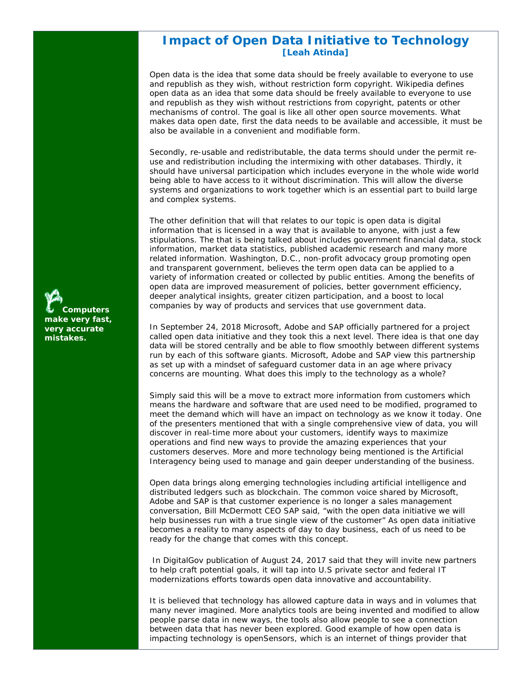# **Impact of Open Data Initiative to Technology [Leah Atinda]**

Open data is the idea that some data should be freely available to everyone to use and republish as they wish, without restriction form copyright. Wikipedia defines open data as an idea that some data should be freely available to everyone to use and republish as they wish without restrictions from copyright, patents or other mechanisms of control. The goal is like all other open source movements. What makes data open date, first the data needs to be available and accessible, it must be also be available in a convenient and modifiable form.

Secondly, re-usable and redistributable, the data terms should under the permit reuse and redistribution including the intermixing with other databases. Thirdly, it should have universal participation which includes everyone in the whole wide world being able to have access to it without discrimination. This will allow the diverse systems and organizations to work together which is an essential part to build large and complex systems.

The other definition that will that relates to our topic is open data is digital information that is licensed in a way that is available to anyone, with just a few stipulations. The that is being talked about includes government financial data, stock information, market data statistics, published academic research and many more related information. Washington, D.C., non-profit advocacy group promoting open and transparent government, believes the term open data can be applied to a variety of information created or collected by public entities. Among the benefits of open data are improved measurement of policies, better government efficiency, deeper analytical insights, greater citizen participation, and a boost to local companies by way of products and services that use government data.

In September 24, 2018 Microsoft, Adobe and SAP officially partnered for a project called open data initiative and they took this a next level. There idea is that one day data will be stored centrally and be able to flow smoothly between different systems run by each of this software giants. Microsoft, Adobe and SAP view this partnership as set up with a mindset of safeguard customer data in an age where privacy concerns are mounting. What does this imply to the technology as a whole?

Simply said this will be a move to extract more information from customers which means the hardware and software that are used need to be modified, programed to meet the demand which will have an impact on technology as we know it today. One of the presenters mentioned that with a single comprehensive view of data, you will discover in real-time more about your customers, identify ways to maximize operations and find new ways to provide the amazing experiences that your customers deserves. More and more technology being mentioned is the Artificial Interagency being used to manage and gain deeper understanding of the business.

Open data brings along emerging technologies including artificial intelligence and distributed ledgers such as blockchain. The common voice shared by Microsoft, Adobe and SAP is that customer experience is no longer a sales management conversation, Bill McDermott CEO SAP said, "with the open data initiative we will help businesses run with a true single view of the customer" As open data initiative becomes a reality to many aspects of day to day business, each of us need to be ready for the change that comes with this concept.

 In DigitalGov publication of August 24, 2017 said that they will invite new partners to help craft potential goals, it will tap into U.S private sector and federal IT modernizations efforts towards open data innovative and accountability.

It is believed that technology has allowed capture data in ways and in volumes that many never imagined. More analytics tools are being invented and modified to allow people parse data in new ways, the tools also allow people to see a connection between data that has never been explored. Good example of how open data is impacting technology is openSensors, which is an internet of things provider that

**Computers make very fast, very accurate mistakes.**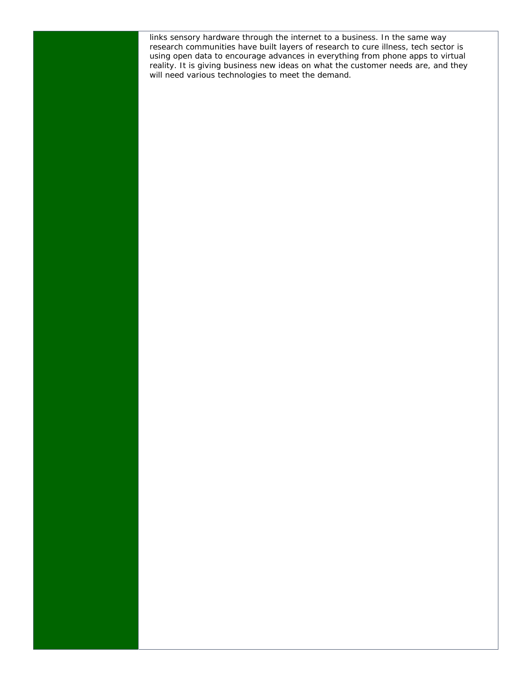links sensory hardware through the internet to a business. In the same way research communities have built layers of research to cure illness, tech sector is using open data to encourage advances in everything from phone apps to virtual reality. It is giving business new ideas on what the customer needs are, and they will need various technologies to meet the demand.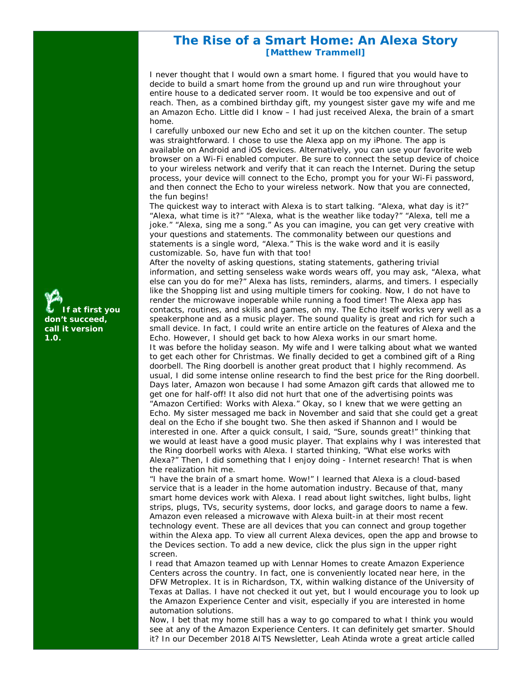# **The Rise of a Smart Home: An Alexa Story [Matthew Trammell]**

I never thought that I would own a smart home. I figured that you would have to decide to build a smart home from the ground up and run wire throughout your entire house to a dedicated server room. It would be too expensive and out of reach. Then, as a combined birthday gift, my youngest sister gave my wife and me an Amazon Echo. Little did I know – I had just received Alexa, the brain of a smart home.

I carefully unboxed our new Echo and set it up on the kitchen counter. The setup was straightforward. I chose to use the Alexa app on my iPhone. The app is available on Android and iOS devices. Alternatively, you can use your favorite web browser on a Wi-Fi enabled computer. Be sure to connect the setup device of choice to your wireless network and verify that it can reach the Internet. During the setup process, your device will connect to the Echo, prompt you for your Wi-Fi password, and then connect the Echo to your wireless network. Now that you are connected, the fun begins!

The quickest way to interact with Alexa is to start talking. "Alexa, what day is it?" "Alexa, what time is it?" "Alexa, what is the weather like today?" "Alexa, tell me a joke." "Alexa, sing me a song." As you can imagine, you can get very creative with your questions and statements. The commonality between our questions and statements is a single word, "Alexa." This is the wake word and it is easily customizable. So, have fun with that too!

After the novelty of asking questions, stating statements, gathering trivial information, and setting senseless wake words wears off, you may ask, "Alexa, what else can you do for me?" Alexa has lists, reminders, alarms, and timers. I especially like the Shopping list and using multiple timers for cooking. Now, I do not have to render the microwave inoperable while running a food timer! The Alexa app has contacts, routines, and skills and games, oh my. The Echo itself works very well as a speakerphone and as a music player. The sound quality is great and rich for such a small device. In fact, I could write an entire article on the features of Alexa and the Echo. However, I should get back to how Alexa works in our smart home. It was before the holiday season. My wife and I were talking about what we wanted to get each other for Christmas. We finally decided to get a combined gift of a Ring doorbell. The Ring doorbell is another great product that I highly recommend. As usual, I did some intense online research to find the best price for the Ring doorbell. Days later, Amazon won because I had some Amazon gift cards that allowed me to get one for half-off! It also did not hurt that one of the advertising points was "Amazon Certified: Works with Alexa." Okay, so I knew that we were getting an Echo. My sister messaged me back in November and said that she could get a great deal on the Echo if she bought two. She then asked if Shannon and I would be interested in one. After a quick consult, I said, "Sure, sounds great!" thinking that we would at least have a good music player. That explains why I was interested that the Ring doorbell works with Alexa. I started thinking, "What else works with Alexa?" Then, I did something that I enjoy doing - Internet research! That is when the realization hit me.

"I have the brain of a smart home. Wow!" I learned that Alexa is a cloud-based service that is a leader in the home automation industry. Because of that, many smart home devices work with Alexa. I read about light switches, light bulbs, light strips, plugs, TVs, security systems, door locks, and garage doors to name a few. Amazon even released a microwave with Alexa built-in at their most recent technology event. These are all devices that you can connect and group together within the Alexa app. To view all current Alexa devices, open the app and browse to the Devices section. To add a new device, click the plus sign in the upper right screen.

I read that Amazon teamed up with Lennar Homes to create Amazon Experience Centers across the country. In fact, one is conveniently located near here, in the DFW Metroplex. It is in Richardson, TX, within walking distance of the University of Texas at Dallas. I have not checked it out yet, but I would encourage you to look up the Amazon Experience Center and visit, especially if you are interested in home automation solutions.

Now, I bet that my home still has a way to go compared to what I think you would see at any of the Amazon Experience Centers. It can definitely get smarter. Should it? In our December 2018 AITS Newsletter, Leah Atinda wrote a great article called

**If at first you don't succeed, call it version 1.0.**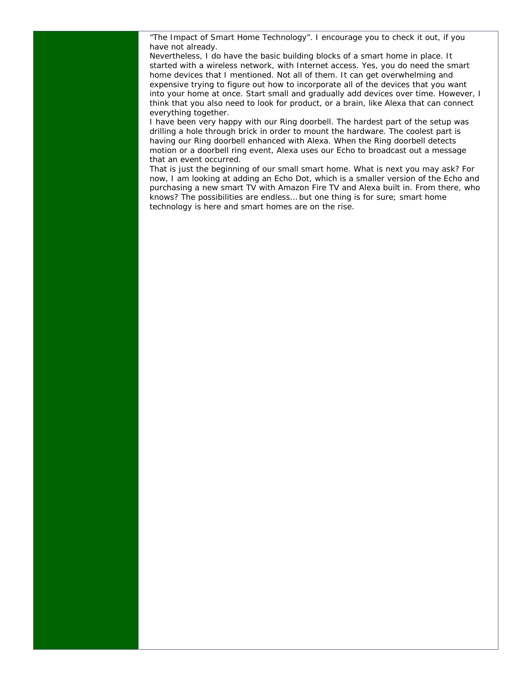"The Impact of Smart Home Technology". I encourage you to check it out, if you have not already.

Nevertheless, I do have the basic building blocks of a smart home in place. It started with a wireless network, with Internet access. Yes, you do need the smart home devices that I mentioned. Not all of them. It can get overwhelming and expensive trying to figure out how to incorporate all of the devices that you want into your home at once. Start small and gradually add devices over time. However, I think that you also need to look for product, or a brain, like Alexa that can connect everything together.

I have been very happy with our Ring doorbell. The hardest part of the setup was drilling a hole through brick in order to mount the hardware. The coolest part is having our Ring doorbell enhanced with Alexa. When the Ring doorbell detects motion or a doorbell ring event, Alexa uses our Echo to broadcast out a message that an event occurred.

That is just the beginning of our small smart home. What is next you may ask? For now, I am looking at adding an Echo Dot, which is a smaller version of the Echo and purchasing a new smart TV with Amazon Fire TV and Alexa built in. From there, who knows? The possibilities are endless… but one thing is for sure; smart home technology is here and smart homes are on the rise.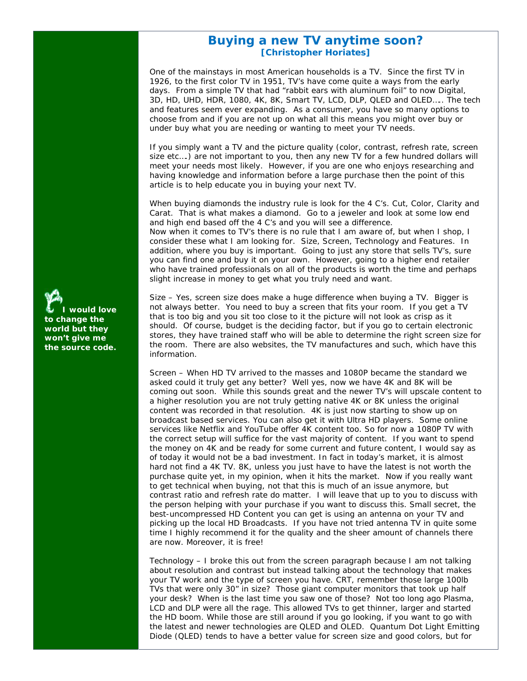# **Buying a new TV anytime soon? [Christopher Horiates]**

One of the mainstays in most American households is a TV. Since the first TV in 1926, to the first color TV in 1951, TV's have come quite a ways from the early days. From a simple TV that had "rabbit ears with aluminum foil" to now Digital, 3D, HD, UHD, HDR, 1080, 4K, 8K, Smart TV, LCD, DLP, QLED and OLED….. The tech and features seem ever expanding. As a consumer, you have so many options to choose from and if you are not up on what all this means you might over buy or under buy what you are needing or wanting to meet your TV needs.

If you simply want a TV and the picture quality (color, contrast, refresh rate, screen size etc….) are not important to you, then any new TV for a few hundred dollars will meet your needs most likely. However, if you are one who enjoys researching and having knowledge and information before a large purchase then the point of this article is to help educate you in buying your next TV.

When buying diamonds the industry rule is look for the 4 C's. Cut, Color, Clarity and Carat. That is what makes a diamond. Go to a jeweler and look at some low end and high end based off the 4 C's and you will see a difference. Now when it comes to TV's there is no rule that I am aware of, but when I shop, I consider these what I am looking for. Size, Screen, Technology and Features. In addition, where you buy is important. Going to just any store that sells TV's, sure you can find one and buy it on your own. However, going to a higher end retailer who have trained professionals on all of the products is worth the time and perhaps slight increase in money to get what you truly need and want.

Size – Yes, screen size does make a huge difference when buying a TV. Bigger is not always better. You need to buy a screen that fits your room. If you get a TV that is too big and you sit too close to it the picture will not look as crisp as it should. Of course, budget is the deciding factor, but if you go to certain electronic stores, they have trained staff who will be able to determine the right screen size for the room. There are also websites, the TV manufactures and such, which have this information.

Screen – When HD TV arrived to the masses and 1080P became the standard we asked could it truly get any better? Well yes, now we have 4K and 8K will be coming out soon. While this sounds great and the newer TV's will upscale content to a higher resolution you are not truly getting native 4K or 8K unless the original content was recorded in that resolution. 4K is just now starting to show up on broadcast based services. You can also get it with Ultra HD players. Some online services like Netflix and YouTube offer 4K content too. So for now a 1080P TV with the correct setup will suffice for the vast majority of content. If you want to spend the money on 4K and be ready for some current and future content, I would say as of today it would not be a bad investment. In fact in today's market, it is almost hard not find a 4K TV. 8K, unless you just have to have the latest is not worth the purchase quite yet, in my opinion, when it hits the market. Now if you really want to get technical when buying, not that this is much of an issue anymore, but contrast ratio and refresh rate do matter. I will leave that up to you to discuss with the person helping with your purchase if you want to discuss this. Small secret, the best-uncompressed HD Content you can get is using an antenna on your TV and picking up the local HD Broadcasts. If you have not tried antenna TV in quite some time I highly recommend it for the quality and the sheer amount of channels there are now. Moreover, it is free!

Technology – I broke this out from the screen paragraph because I am not talking about resolution and contrast but instead talking about the technology that makes your TV work and the type of screen you have. CRT, remember those large 100lb TVs that were only 30" in size? Those giant computer monitors that took up half your desk? When is the last time you saw one of those? Not too long ago Plasma, LCD and DLP were all the rage. This allowed TVs to get thinner, larger and started the HD boom. While those are still around if you go looking, if you want to go with the latest and newer technologies are QLED and OLED. Quantum Dot Light Emitting Diode (QLED) tends to have a better value for screen size and good colors, but for

**I would love to change the world but they won't give me the source code.**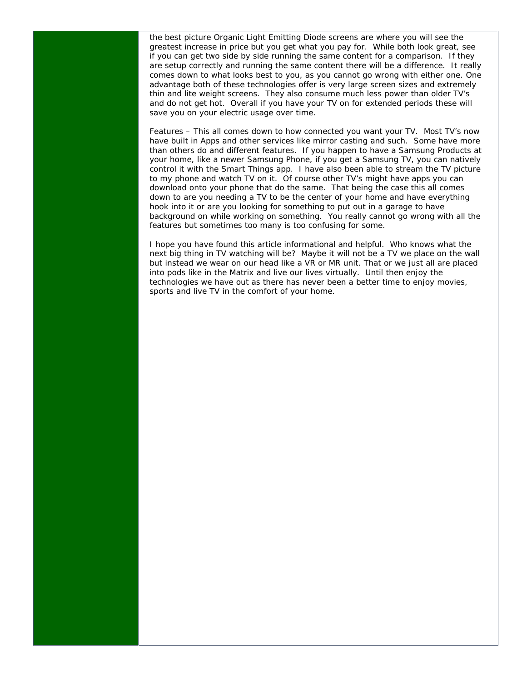the best picture Organic Light Emitting Diode screens are where you will see the greatest increase in price but you get what you pay for. While both look great, see if you can get two side by side running the same content for a comparison. If they are setup correctly and running the same content there will be a difference. It really comes down to what looks best to you, as you cannot go wrong with either one. One advantage both of these technologies offer is very large screen sizes and extremely thin and lite weight screens. They also consume much less power than older TV's and do not get hot. Overall if you have your TV on for extended periods these will save you on your electric usage over time.

Features – This all comes down to how connected you want your TV. Most TV's now have built in Apps and other services like mirror casting and such. Some have more than others do and different features. If you happen to have a Samsung Products at your home, like a newer Samsung Phone, if you get a Samsung TV, you can natively control it with the Smart Things app. I have also been able to stream the TV picture to my phone and watch TV on it. Of course other TV's might have apps you can download onto your phone that do the same. That being the case this all comes down to are you needing a TV to be the center of your home and have everything hook into it or are you looking for something to put out in a garage to have background on while working on something. You really cannot go wrong with all the features but sometimes too many is too confusing for some.

I hope you have found this article informational and helpful. Who knows what the next big thing in TV watching will be? Maybe it will not be a TV we place on the wall but instead we wear on our head like a VR or MR unit. That or we just all are placed into pods like in the Matrix and live our lives virtually. Until then enjoy the technologies we have out as there has never been a better time to enjoy movies, sports and live TV in the comfort of your home.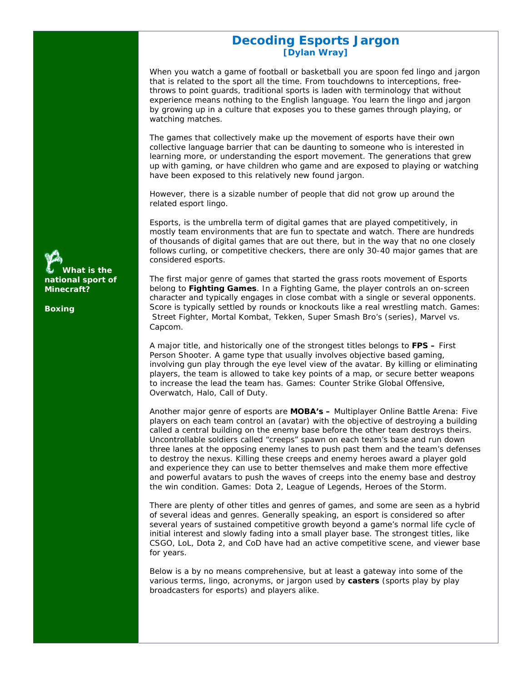# **Decoding Esports Jargon [Dylan Wray]**

When you watch a game of football or basketball you are spoon fed lingo and jargon that is related to the sport all the time. From touchdowns to interceptions, freethrows to point guards, traditional sports is laden with terminology that without experience means nothing to the English language. You learn the lingo and jargon by growing up in a culture that exposes you to these games through playing, or watching matches.

The games that collectively make up the movement of esports have their own collective language barrier that can be daunting to someone who is interested in learning more, or understanding the esport movement. The generations that grew up with gaming, or have children who game and are exposed to playing or watching have been exposed to this relatively new found jargon.

However, there is a sizable number of people that did not grow up around the related esport lingo.

Esports, is the umbrella term of digital games that are played competitively, in mostly team environments that are fun to spectate and watch. There are hundreds of thousands of digital games that are out there, but in the way that no one closely follows curling, or competitive checkers, there are only 30-40 major games that are considered esports.

The first major genre of games that started the grass roots movement of Esports belong to **Fighting Games**. In a Fighting Game, the player controls an on-screen character and typically engages in close combat with a single or several opponents. Score is typically settled by rounds or knockouts like a real wrestling match. Games: *Street Fighter, Mortal Kombat, Tekken, Super Smash Bro's (series), Marvel vs. Capcom.* 

A major title, and historically one of the strongest titles belongs to **FPS –** First Person Shooter. A game type that usually involves objective based gaming, involving gun play through the eye level view of the avatar. By killing or eliminating players, the team is allowed to take key points of a map, or secure better weapons to increase the lead the team has. Games*: Counter Strike Global Offensive, Overwatch, Halo, Call of Duty.* 

Another major genre of esports are **MOBA's –** Multiplayer Online Battle Arena: Five players on each team control an (avatar) with the objective of destroying a building called a central building on the enemy base before the other team destroys theirs. Uncontrollable soldiers called "creeps" spawn on each team's base and run down three lanes at the opposing enemy lanes to push past them and the team's defenses to destroy the nexus. Killing these creeps and enemy heroes award a player gold and experience they can use to better themselves and make them more effective and powerful avatars to push the waves of creeps into the enemy base and destroy the win condition. Games: *Dota 2, League of Legends, Heroes of the Storm.* 

There are plenty of other titles and genres of games, and some are seen as a hybrid of several ideas and genres. Generally speaking, an esport is considered so after several years of sustained competitive growth beyond a game's normal life cycle of initial interest and slowly fading into a small player base. The strongest titles, like CSGO, LoL, Dota 2, and CoD have had an active competitive scene, and viewer base for years.

Below is a by no means comprehensive, but at least a gateway into some of the various terms, lingo, acronyms, or jargon used by **casters** (sports play by play broadcasters for esports) and players alike.

**What is the national sport of Minecraft?** 

**Boxing**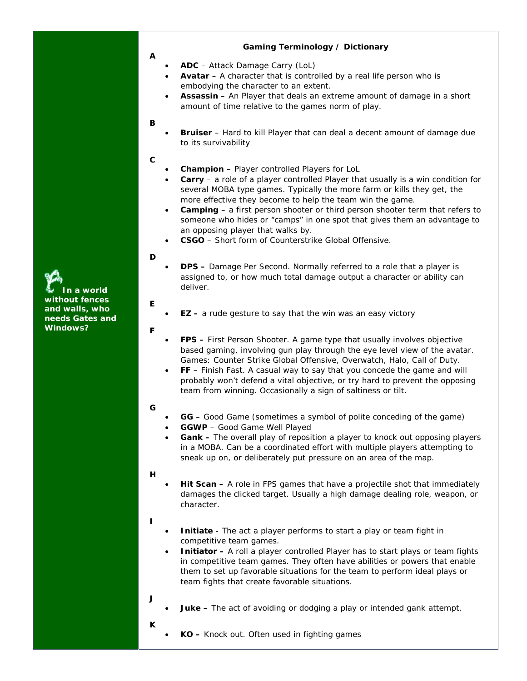### **Gaming Terminology / Dictionary**

- **ADC** Attack Damage Carry (LoL)
- **Avatar** A character that is controlled by a real life person who is embodying the character to an extent.
- **Assassin**  An Player that deals an extreme amount of damage in a short amount of time relative to the games norm of play.

#### **B**

**A** 

 **Bruiser** – Hard to kill Player that can deal a decent amount of damage due to its survivability

#### **C**

- **Champion** Player controlled Players for LoL
- **Carry** a role of a player controlled Player that usually is a win condition for several MOBA type games. Typically the more farm or kills they get, the more effective they become to help the team win the game.
- **Camping** a first person shooter or third person shooter term that refers to someone who hides or "camps" in one spot that gives them an advantage to an opposing player that walks by.
- **CSGO**  Short form of *Counterstrike Global Offensive.*

#### **D**

• **DPS** – Damage Per Second. Normally referred to a role that a player is assigned to, or how much total damage output a character or ability can deliver.

**EZ –** a rude gesture to say that the win was an easy victory

#### **F**

**E** 

**In a world without fences and walls, who needs Gates and Windows?** 

- **FPS** First Person Shooter. A game type that usually involves objective based gaming, involving gun play through the eye level view of the avatar. Games*: Counter Strike Global Offensive, Overwatch, Halo, Call of Duty.*
- **FF** Finish Fast. A casual way to say that you concede the game and will probably won't defend a vital objective, or try hard to prevent the opposing team from winning. Occasionally a sign of saltiness or tilt.

#### **G**

- **GG** Good Game (sometimes a symbol of polite conceding of the game)
- **GGWP** Good Game Well Played
- **Gank** The overall play of reposition a player to knock out opposing players in a MOBA. Can be a coordinated effort with multiple players attempting to sneak up on, or deliberately put pressure on an area of the map.

#### **H**

 **Hit Scan –** A role in FPS games that have a projectile shot that immediately damages the clicked target. Usually a high damage dealing role, weapon, or character.

#### **I**

- **Initiate** The act a player performs to start a play or team fight in competitive team games.
- **Initiator** A roll a player controlled Player has to start plays or team fights in competitive team games. They often have abilities or powers that enable them to set up favorable situations for the team to perform ideal plays or team fights that create favorable situations.
- **J**
- **Juke** The act of avoiding or dodging a play or intended gank attempt.
- **K**
- **KO** Knock out. Often used in fighting games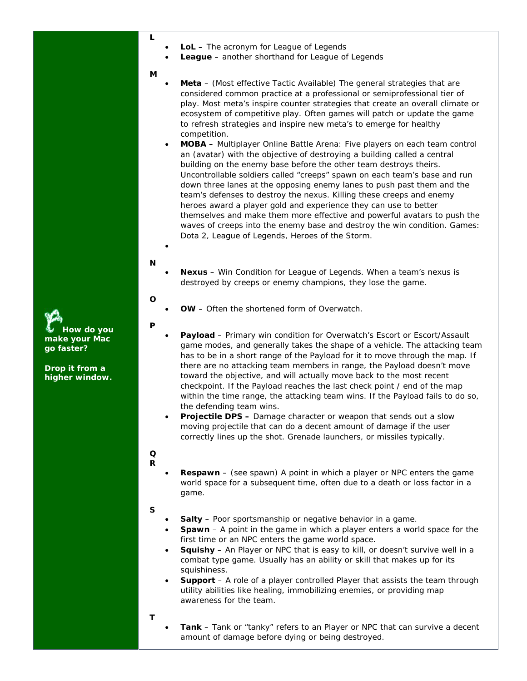- **L**
- **LoL** The acronym for League of Legends
- **League**  another shorthand for League of Legends
- **M**
- **Meta** (Most effective Tactic Available) The general strategies that are considered common practice at a professional or semiprofessional tier of play. Most meta's inspire counter strategies that create an overall climate or ecosystem of competitive play. Often games will patch or update the game to refresh strategies and inspire new meta's to emerge for healthy competition.
- **MOBA** Multiplayer Online Battle Arena: Five players on each team control an (avatar) with the objective of destroying a building called a central building on the enemy base before the other team destroys theirs. Uncontrollable soldiers called "creeps" spawn on each team's base and run down three lanes at the opposing enemy lanes to push past them and the team's defenses to destroy the nexus. Killing these creeps and enemy heroes award a player gold and experience they can use to better themselves and make them more effective and powerful avatars to push the waves of creeps into the enemy base and destroy the win condition. Games: *Dota 2, League of Legends, Heroes of the Storm.*

#### **N**

 $\bullet$ 

- **Nexus** Win Condition for League of Legends. When a team's nexus is destroyed by creeps or enemy champions, they lose the game.
- **O** 
	- **OW** Often the shortened form of Overwatch.

#### **P**

- **Payload** Primary win condition for Overwatch's Escort or Escort/Assault game modes, and generally takes the shape of a vehicle. The attacking team has to be in a short range of the Payload for it to move through the map. If there are no attacking team members in range, the Payload doesn't move toward the objective, and will actually move back to the most recent checkpoint. If the Payload reaches the last check point / end of the map within the time range, the attacking team wins. If the Payload fails to do so, the defending team wins.
- **Projectile DPS** Damage character or weapon that sends out a slow moving projectile that can do a decent amount of damage if the user correctly lines up the shot. Grenade launchers, or missiles typically.

#### **Q R**

 **Respawn** – (see spawn) A point in which a player or NPC enters the game world space for a subsequent time, often due to a death or loss factor in a game.

#### **S**

- **Salty** Poor sportsmanship or negative behavior in a game.
- **Spawn** A point in the game in which a player enters a world space for the first time or an NPC enters the game world space.
- **Squishy** An Player or NPC that is easy to kill, or doesn't survive well in a combat type game. Usually has an ability or skill that makes up for its squishiness.
- **Support** A role of a player controlled Player that assists the team through utility abilities like healing, immobilizing enemies, or providing map awareness for the team.
- **T**
- **Tank** Tank or "tanky" refers to an Player or NPC that can survive a decent amount of damage before dying or being destroyed.

**How do you make your Mac go faster?** 

**Drop it from a higher window.**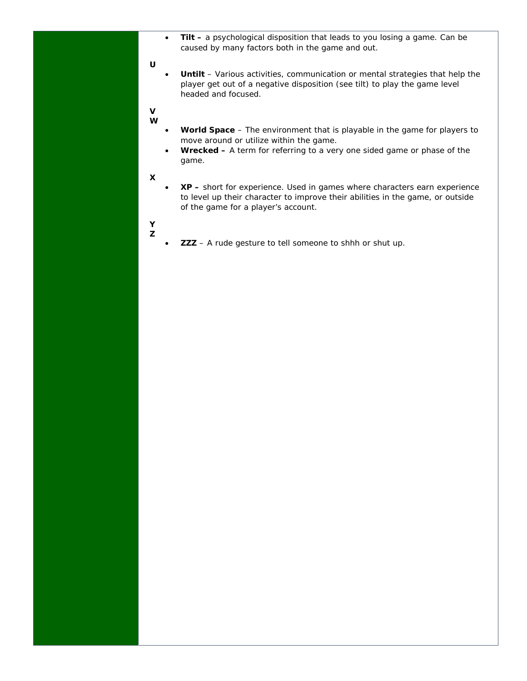**Tilt –** a psychological disposition that leads to you losing a game. Can be caused by many factors both in the game and out.

#### **U**

- **Untilt** Various activities, communication or mental strategies that help the player get out of a negative disposition (see tilt) to play the game level headed and focused.
- **V W**
- **World Space** The environment that is playable in the game for players to move around or utilize within the game.
- **Wrecked** A term for referring to a very one sided game or phase of the game.
- **X**
- **XP** short for experience. Used in games where characters earn experience to level up their character to improve their abilities in the game, or outside of the game for a player's account.
- **Y Z**
- **ZZZ** A rude gesture to tell someone to shhh or shut up.